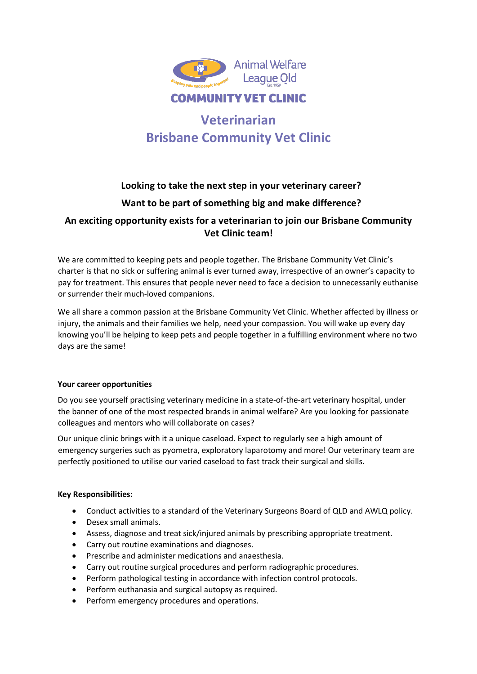

# **Veterinarian Brisbane Community Vet Clinic**

## **Looking to take the next step in your veterinary career? Want to be part of something big and make difference? An exciting opportunity exists for a veterinarian to join our Brisbane Community**

### **Vet Clinic team!**

We are committed to keeping pets and people together. The Brisbane Community Vet Clinic's charter is that no sick or suffering animal is ever turned away, irrespective of an owner's capacity to pay for treatment. This ensures that people never need to face a decision to unnecessarily euthanise or surrender their much-loved companions.

We all share a common passion at the Brisbane Community Vet Clinic. Whether affected by illness or injury, the animals and their families we help, need your compassion. You will wake up every day knowing you'll be helping to keep pets and people together in a fulfilling environment where no two days are the same!

#### **Your career opportunities**

Do you see yourself practising veterinary medicine in a state-of-the-art veterinary hospital, under the banner of one of the most respected brands in animal welfare? Are you looking for passionate colleagues and mentors who will collaborate on cases?

Our unique clinic brings with it a unique caseload. Expect to regularly see a high amount of emergency surgeries such as pyometra, exploratory laparotomy and more! Our veterinary team are perfectly positioned to utilise our varied caseload to fast track their surgical and skills.

#### **Key Responsibilities:**

- Conduct activities to a standard of the Veterinary Surgeons Board of QLD and AWLQ policy.
- Desex small animals.
- Assess, diagnose and treat sick/injured animals by prescribing appropriate treatment.
- Carry out routine examinations and diagnoses.
- Prescribe and administer medications and anaesthesia.
- Carry out routine surgical procedures and perform radiographic procedures.
- Perform pathological testing in accordance with infection control protocols.
- Perform euthanasia and surgical autopsy as required.
- Perform emergency procedures and operations.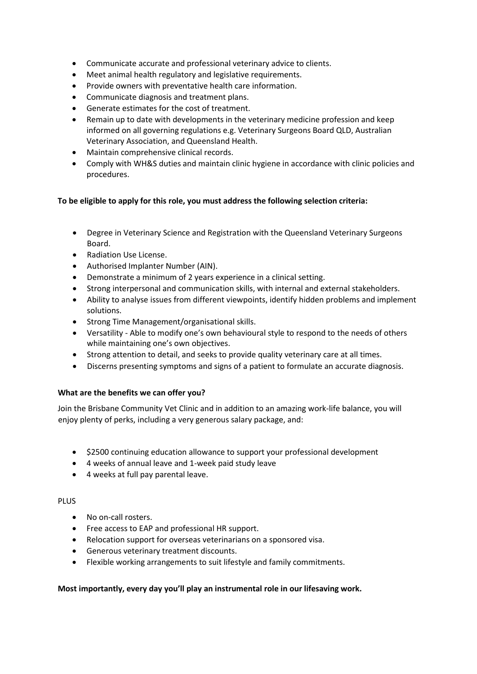- Communicate accurate and professional veterinary advice to clients.
- Meet animal health regulatory and legislative requirements.
- Provide owners with preventative health care information.
- Communicate diagnosis and treatment plans.
- Generate estimates for the cost of treatment.
- Remain up to date with developments in the veterinary medicine profession and keep informed on all governing regulations e.g. Veterinary Surgeons Board QLD, Australian Veterinary Association, and Queensland Health.
- Maintain comprehensive clinical records.
- Comply with WH&S duties and maintain clinic hygiene in accordance with clinic policies and procedures.

#### **To be eligible to apply for this role, you must address the following selection criteria:**

- Degree in Veterinary Science and Registration with the Queensland Veterinary Surgeons Board.
- Radiation Use License.
- Authorised Implanter Number (AIN).
- Demonstrate a minimum of 2 years experience in a clinical setting.
- Strong interpersonal and communication skills, with internal and external stakeholders.
- Ability to analyse issues from different viewpoints, identify hidden problems and implement solutions.
- Strong Time Management/organisational skills.
- Versatility Able to modify one's own behavioural style to respond to the needs of others while maintaining one's own objectives.
- Strong attention to detail, and seeks to provide quality veterinary care at all times.
- Discerns presenting symptoms and signs of a patient to formulate an accurate diagnosis.

#### **What are the benefits we can offer you?**

Join the Brisbane Community Vet Clinic and in addition to an amazing work-life balance, you will enjoy plenty of perks, including a very generous salary package, and:

- \$2500 continuing education allowance to support your professional development
- 4 weeks of annual leave and 1-week paid study leave
- 4 weeks at full pay parental leave.

#### PLUS

- No on-call rosters.
- Free access to EAP and professional HR support.
- Relocation support for overseas veterinarians on a sponsored visa.
- Generous veterinary treatment discounts.
- Flexible working arrangements to suit lifestyle and family commitments.

#### **Most importantly, every day you'll play an instrumental role in our lifesaving work.**